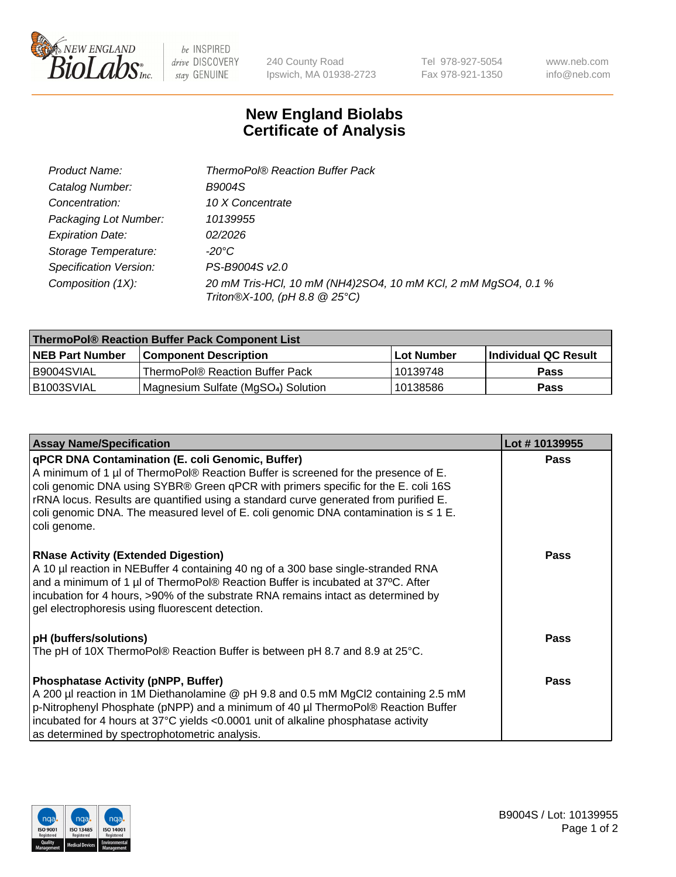

be INSPIRED drive DISCOVERY stay GENUINE

240 County Road Ipswich, MA 01938-2723

Tel 978-927-5054 Fax 978-921-1350

www.neb.com info@neb.com

## **New England Biolabs Certificate of Analysis**

| Product Name:           | <b>ThermoPol® Reaction Buffer Pack</b>                                                         |
|-------------------------|------------------------------------------------------------------------------------------------|
| Catalog Number:         | <b>B9004S</b>                                                                                  |
| Concentration:          | 10 X Concentrate                                                                               |
| Packaging Lot Number:   | 10139955                                                                                       |
| <b>Expiration Date:</b> | 02/2026                                                                                        |
| Storage Temperature:    | $-20^{\circ}$ C                                                                                |
| Specification Version:  | PS-B9004S v2.0                                                                                 |
| Composition (1X):       | 20 mM Tris-HCl, 10 mM (NH4)2SO4, 10 mM KCl, 2 mM MgSO4, 0.1 %<br>Triton®X-100, (pH 8.8 @ 25°C) |

| ThermoPol® Reaction Buffer Pack Component List |                                                 |             |                             |  |
|------------------------------------------------|-------------------------------------------------|-------------|-----------------------------|--|
| <b>NEB Part Number</b>                         | <b>Component Description</b>                    | ⊺Lot Number | <b>Individual QC Result</b> |  |
| I B9004SVIAL                                   | ThermoPol® Reaction Buffer Pack                 | 10139748    | <b>Pass</b>                 |  |
| IB1003SVIAL                                    | Magnesium Sulfate (MgSO <sub>4</sub> ) Solution | 10138586    | <b>Pass</b>                 |  |

| Lot #10139955 |
|---------------|
| <b>Pass</b>   |
| <b>Pass</b>   |
| <b>Pass</b>   |
|               |
| <b>Pass</b>   |
|               |
|               |
|               |
|               |